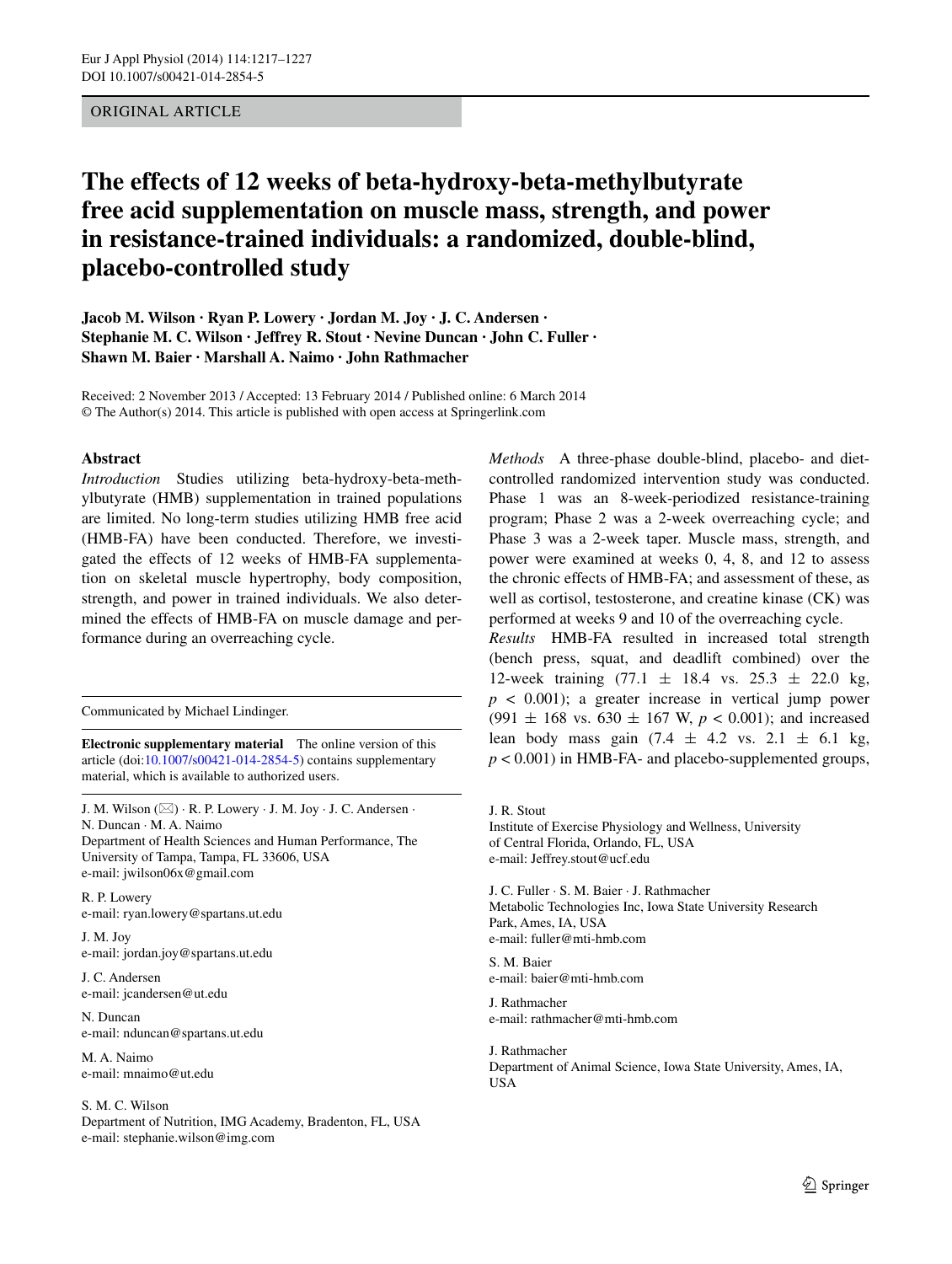# Original Article

# **The effects of 12 weeks of beta‑hydroxy‑beta‑methylbutyrate free acid supplementation on muscle mass, strength, and power in resistance‑trained individuals: a randomized, double‑blind, placebo‑controlled study**

**Jacob M. Wilson · Ryan P. Lowery · Jordan M. Joy · J. C. Andersen · Stephanie M. C. Wilson · Jeffrey R. Stout · Nevine Duncan · John C. Fuller · Shawn M. Baier · Marshall A. Naimo · John Rathmacher**

Received: 2 November 2013 / Accepted: 13 February 2014 / Published online: 6 March 2014 © The Author(s) 2014. This article is published with open access at Springerlink.com

#### **Abstract**

*Introduction* Studies utilizing beta-hydroxy-beta-methylbutyrate (HMB) supplementation in trained populations are limited. No long-term studies utilizing HMB free acid (HMB-FA) have been conducted. Therefore, we investigated the effects of 12 weeks of HMB-FA supplementation on skeletal muscle hypertrophy, body composition, strength, and power in trained individuals. We also determined the effects of HMB-FA on muscle damage and performance during an overreaching cycle.

Communicated by Michael Lindinger.

**Electronic supplementary material** The online version of this article (doi[:10.1007/s00421-014-2854-5](http://dx.doi.org/10.1007/s00421-014-2854-5)) contains supplementary material, which is available to authorized users.

J. M. Wilson  $(\boxtimes) \cdot R$ . P. Lowery  $\cdot$  J. M. Joy  $\cdot$  J. C. Andersen  $\cdot$ N. Duncan · M. A. Naimo Department of Health Sciences and Human Performance, The University of Tampa, Tampa, FL 33606, USA e-mail: jwilson06x@gmail.com

R. P. Lowery e-mail: ryan.lowery@spartans.ut.edu

J. M. Joy e-mail: jordan.joy@spartans.ut.edu

J. C. Andersen e-mail: jcandersen@ut.edu

N. Duncan e-mail: nduncan@spartans.ut.edu

M. A. Naimo e-mail: mnaimo@ut.edu

#### S. M. C. Wilson

Department of Nutrition, IMG Academy, Bradenton, FL, USA e-mail: stephanie.wilson@img.com

*Methods* A three-phase double-blind, placebo- and dietcontrolled randomized intervention study was conducted. Phase 1 was an 8-week-periodized resistance-training program; Phase 2 was a 2-week overreaching cycle; and Phase 3 was a 2-week taper. Muscle mass, strength, and power were examined at weeks 0, 4, 8, and 12 to assess the chronic effects of HMB-FA; and assessment of these, as well as cortisol, testosterone, and creatine kinase (CK) was performed at weeks 9 and 10 of the overreaching cycle.

*Results* HMB-FA resulted in increased total strength (bench press, squat, and deadlift combined) over the 12-week training  $(77.1 \pm 18.4 \text{ vs. } 25.3 \pm 22.0 \text{ kg})$  $p \leq 0.001$ ; a greater increase in vertical jump power (991  $\pm$  168 vs. 630  $\pm$  167 W,  $p < 0.001$ ); and increased lean body mass gain  $(7.4 \pm 4.2 \text{ vs. } 2.1 \pm 6.1 \text{ kg})$  $p < 0.001$ ) in HMB-FA- and placebo-supplemented groups,

J. R. Stout Institute of Exercise Physiology and Wellness, University of Central Florida, Orlando, FL, USA e-mail: Jeffrey.stout@ucf.edu

J. C. Fuller · S. M. Baier · J. Rathmacher Metabolic Technologies Inc, Iowa State University Research Park, Ames, IA, USA e-mail: fuller@mti-hmb.com

S. M. Baier e-mail: baier@mti-hmb.com

J. Rathmacher e-mail: rathmacher@mti-hmb.com

J. Rathmacher Department of Animal Science, Iowa State University, Ames, IA, USA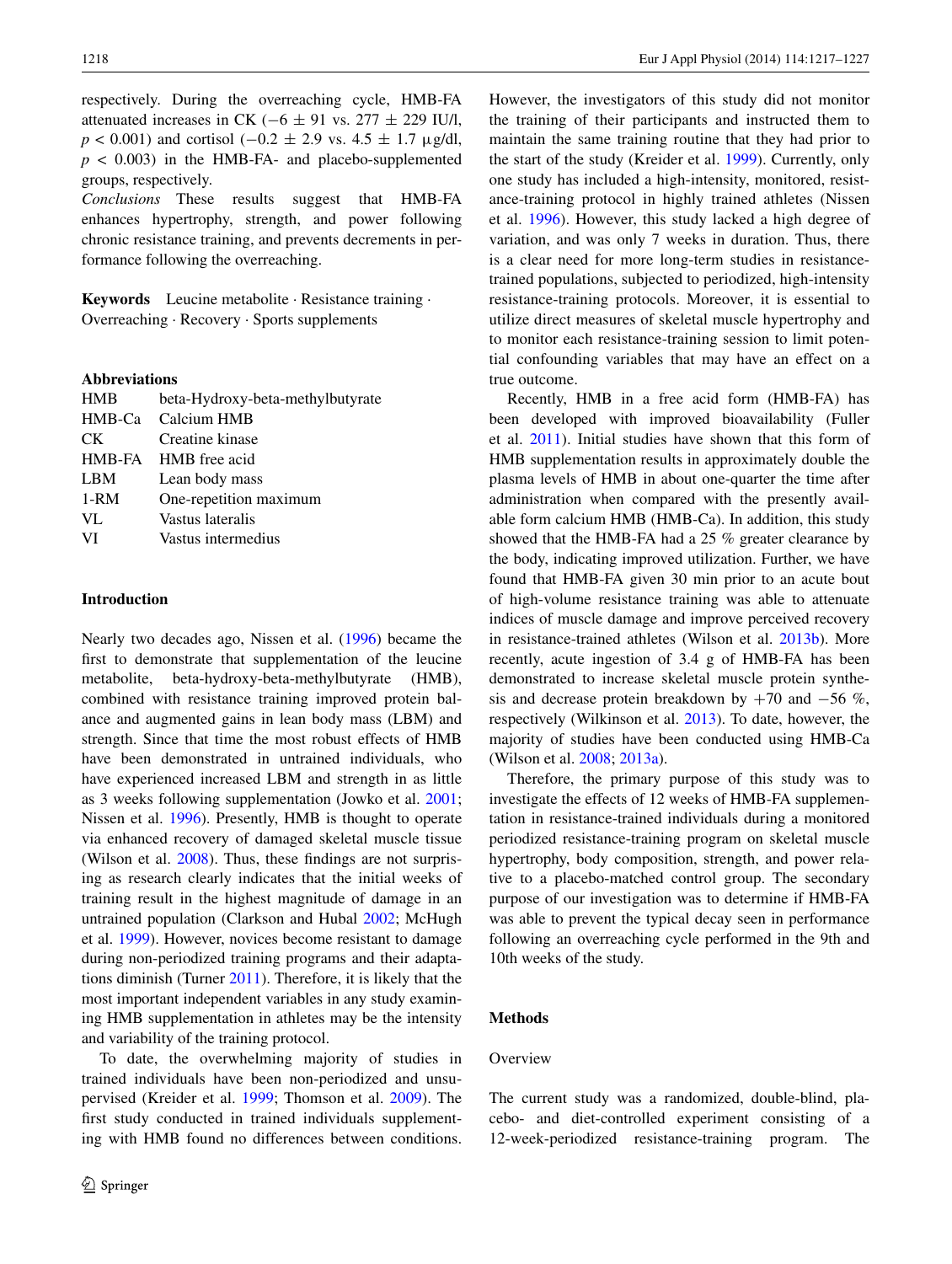respectively. During the overreaching cycle, HMB-FA attenuated increases in CK ( $-6 \pm 91$  vs. 277  $\pm$  229 IU/l, *p* < 0.001) and cortisol (−0.2 ± 2.9 vs. 4.5 ± 1.7 μg/dl,  $p < 0.003$ ) in the HMB-FA- and placebo-supplemented groups, respectively.

*Conclusions* These results suggest that HMB-FA enhances hypertrophy, strength, and power following chronic resistance training, and prevents decrements in performance following the overreaching.

**Keywords** Leucine metabolite · Resistance training · Overreaching · Recovery · Sports supplements

## **Abbreviations**

| <b>HMB</b> | beta-Hydroxy-beta-methylbutyrate |
|------------|----------------------------------|
| HMB-Ca     | Calcium HMB                      |
| CK.        | Creatine kinase                  |
|            | HMB-FA HMB free acid             |
| <b>LBM</b> | Lean body mass                   |
| $1-RM$     | One-repetition maximum           |
| VL         | Vastus lateralis                 |
| VI         | Vastus intermedius               |
|            |                                  |

## **Introduction**

Nearly two decades ago, Nissen et al. ([1996\)](#page-10-0) became the first to demonstrate that supplementation of the leucine metabolite, beta-hydroxy-beta-methylbutyrate (HMB), combined with resistance training improved protein balance and augmented gains in lean body mass (LBM) and strength. Since that time the most robust effects of HMB have been demonstrated in untrained individuals, who have experienced increased LBM and strength in as little as 3 weeks following supplementation (Jowko et al. [2001](#page-9-0); Nissen et al. [1996\)](#page-10-0). Presently, HMB is thought to operate via enhanced recovery of damaged skeletal muscle tissue (Wilson et al. [2008\)](#page-10-1). Thus, these findings are not surprising as research clearly indicates that the initial weeks of training result in the highest magnitude of damage in an untrained population (Clarkson and Hubal [2002](#page-9-1); McHugh et al. [1999\)](#page-10-2). However, novices become resistant to damage during non-periodized training programs and their adaptations diminish (Turner [2011\)](#page-10-3). Therefore, it is likely that the most important independent variables in any study examining HMB supplementation in athletes may be the intensity and variability of the training protocol.

To date, the overwhelming majority of studies in trained individuals have been non-periodized and unsupervised (Kreider et al. [1999](#page-10-4); Thomson et al. [2009](#page-10-5)). The first study conducted in trained individuals supplementing with HMB found no differences between conditions.

However, the investigators of this study did not monitor the training of their participants and instructed them to maintain the same training routine that they had prior to the start of the study (Kreider et al. [1999\)](#page-10-4). Currently, only one study has included a high-intensity, monitored, resistance-training protocol in highly trained athletes (Nissen et al. [1996\)](#page-10-0). However, this study lacked a high degree of variation, and was only 7 weeks in duration. Thus, there is a clear need for more long-term studies in resistancetrained populations, subjected to periodized, high-intensity resistance-training protocols. Moreover, it is essential to utilize direct measures of skeletal muscle hypertrophy and to monitor each resistance-training session to limit potential confounding variables that may have an effect on a true outcome.

Recently, HMB in a free acid form (HMB-FA) has been developed with improved bioavailability (Fuller et al. [2011](#page-9-2)). Initial studies have shown that this form of HMB supplementation results in approximately double the plasma levels of HMB in about one-quarter the time after administration when compared with the presently available form calcium HMB (HMB-Ca). In addition, this study showed that the HMB-FA had a 25 % greater clearance by the body, indicating improved utilization. Further, we have found that HMB-FA given 30 min prior to an acute bout of high-volume resistance training was able to attenuate indices of muscle damage and improve perceived recovery in resistance-trained athletes (Wilson et al. [2013b\)](#page-10-6). More recently, acute ingestion of 3.4 g of HMB-FA has been demonstrated to increase skeletal muscle protein synthesis and decrease protein breakdown by  $+70$  and  $-56\%$ , respectively (Wilkinson et al. [2013](#page-10-7)). To date, however, the majority of studies have been conducted using HMB-Ca (Wilson et al. [2008](#page-10-1); [2013a](#page-10-8)).

Therefore, the primary purpose of this study was to investigate the effects of 12 weeks of HMB-FA supplementation in resistance-trained individuals during a monitored periodized resistance-training program on skeletal muscle hypertrophy, body composition, strength, and power relative to a placebo-matched control group. The secondary purpose of our investigation was to determine if HMB-FA was able to prevent the typical decay seen in performance following an overreaching cycle performed in the 9th and 10th weeks of the study.

# **Methods**

#### **Overview**

The current study was a randomized, double-blind, placebo- and diet-controlled experiment consisting of a 12-week-periodized resistance-training program. The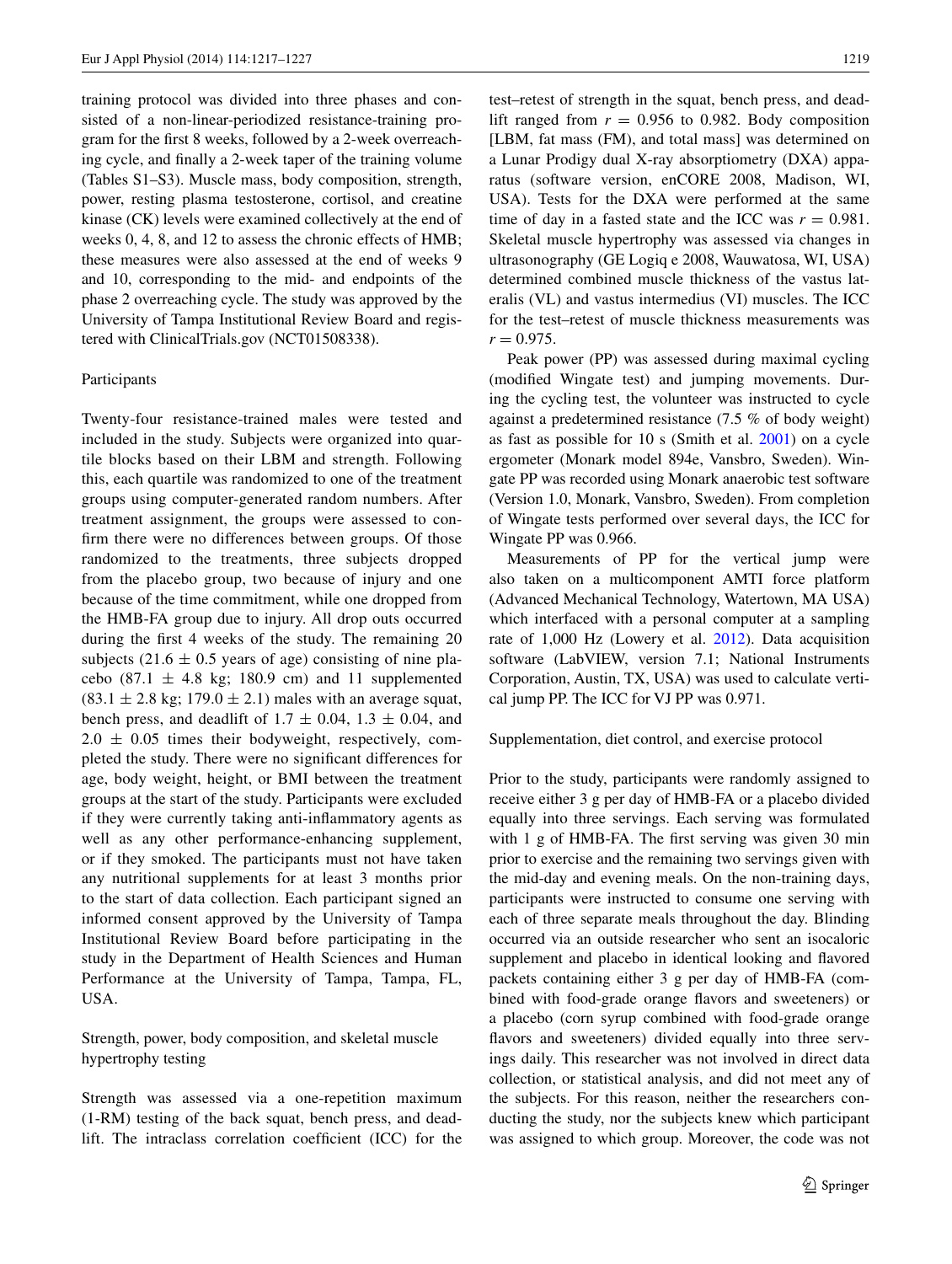training protocol was divided into three phases and consisted of a non-linear-periodized resistance-training program for the first 8 weeks, followed by a 2-week overreaching cycle, and finally a 2-week taper of the training volume (Tables S1–S3). Muscle mass, body composition, strength, power, resting plasma testosterone, cortisol, and creatine kinase (CK) levels were examined collectively at the end of weeks 0, 4, 8, and 12 to assess the chronic effects of HMB; these measures were also assessed at the end of weeks 9 and 10, corresponding to the mid- and endpoints of the phase 2 overreaching cycle. The study was approved by the University of Tampa Institutional Review Board and registered with ClinicalTrials.gov (NCT01508338).

#### Participants

Twenty-four resistance-trained males were tested and included in the study. Subjects were organized into quartile blocks based on their LBM and strength. Following this, each quartile was randomized to one of the treatment groups using computer-generated random numbers. After treatment assignment, the groups were assessed to confirm there were no differences between groups. Of those randomized to the treatments, three subjects dropped from the placebo group, two because of injury and one because of the time commitment, while one dropped from the HMB-FA group due to injury. All drop outs occurred during the first 4 weeks of the study. The remaining 20 subjects (21.6  $\pm$  0.5 years of age) consisting of nine placebo (87.1  $\pm$  4.8 kg; 180.9 cm) and 11 supplemented  $(83.1 \pm 2.8 \text{ kg}; 179.0 \pm 2.1)$  males with an average squat, bench press, and deadlift of  $1.7 \pm 0.04$ ,  $1.3 \pm 0.04$ , and  $2.0 \pm 0.05$  times their bodyweight, respectively, completed the study. There were no significant differences for age, body weight, height, or BMI between the treatment groups at the start of the study. Participants were excluded if they were currently taking anti-inflammatory agents as well as any other performance-enhancing supplement, or if they smoked. The participants must not have taken any nutritional supplements for at least 3 months prior to the start of data collection. Each participant signed an informed consent approved by the University of Tampa Institutional Review Board before participating in the study in the Department of Health Sciences and Human Performance at the University of Tampa, Tampa, FL, USA.

Strength, power, body composition, and skeletal muscle hypertrophy testing

Strength was assessed via a one-repetition maximum (1-RM) testing of the back squat, bench press, and deadlift. The intraclass correlation coefficient (ICC) for the test–retest of strength in the squat, bench press, and deadlift ranged from  $r = 0.956$  to 0.982. Body composition [LBM, fat mass (FM), and total mass] was determined on a Lunar Prodigy dual X-ray absorptiometry (DXA) apparatus (software version, enCORE 2008, Madison, WI, USA). Tests for the DXA were performed at the same time of day in a fasted state and the ICC was  $r = 0.981$ . Skeletal muscle hypertrophy was assessed via changes in ultrasonography (GE Logiq e 2008, Wauwatosa, WI, USA) determined combined muscle thickness of the vastus lateralis (VL) and vastus intermedius (VI) muscles. The ICC for the test–retest of muscle thickness measurements was  $r = 0.975$ .

Peak power (PP) was assessed during maximal cycling (modified Wingate test) and jumping movements. During the cycling test, the volunteer was instructed to cycle against a predetermined resistance (7.5 % of body weight) as fast as possible for 10 s (Smith et al. [2001\)](#page-10-9) on a cycle ergometer (Monark model 894e, Vansbro, Sweden). Wingate PP was recorded using Monark anaerobic test software (Version 1.0, Monark, Vansbro, Sweden). From completion of Wingate tests performed over several days, the ICC for Wingate PP was 0.966.

Measurements of PP for the vertical jump were also taken on a multicomponent AMTI force platform (Advanced Mechanical Technology, Watertown, MA USA) which interfaced with a personal computer at a sampling rate of 1,000 Hz (Lowery et al. [2012\)](#page-10-10). Data acquisition software (LabVIEW, version 7.1; National Instruments Corporation, Austin, TX, USA) was used to calculate vertical jump PP. The ICC for VJ PP was 0.971.

#### Supplementation, diet control, and exercise protocol

Prior to the study, participants were randomly assigned to receive either 3 g per day of HMB-FA or a placebo divided equally into three servings. Each serving was formulated with 1 g of HMB-FA. The first serving was given 30 min prior to exercise and the remaining two servings given with the mid-day and evening meals. On the non-training days, participants were instructed to consume one serving with each of three separate meals throughout the day. Blinding occurred via an outside researcher who sent an isocaloric supplement and placebo in identical looking and flavored packets containing either 3 g per day of HMB-FA (combined with food-grade orange flavors and sweeteners) or a placebo (corn syrup combined with food-grade orange flavors and sweeteners) divided equally into three servings daily. This researcher was not involved in direct data collection, or statistical analysis, and did not meet any of the subjects. For this reason, neither the researchers conducting the study, nor the subjects knew which participant was assigned to which group. Moreover, the code was not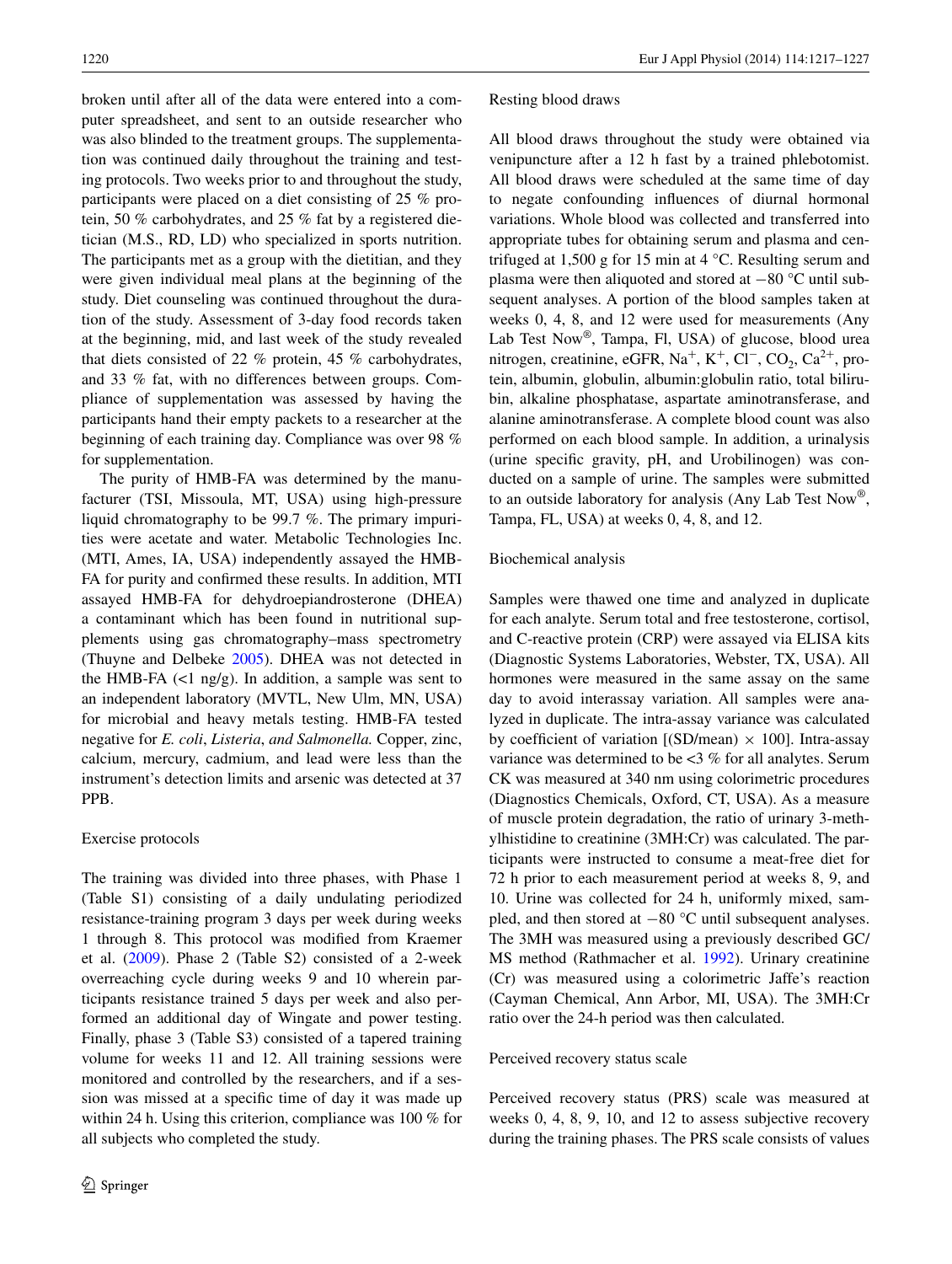broken until after all of the data were entered into a computer spreadsheet, and sent to an outside researcher who was also blinded to the treatment groups. The supplementation was continued daily throughout the training and testing protocols. Two weeks prior to and throughout the study, participants were placed on a diet consisting of 25 % protein, 50 % carbohydrates, and 25 % fat by a registered dietician (M.S., RD, LD) who specialized in sports nutrition. The participants met as a group with the dietitian, and they were given individual meal plans at the beginning of the study. Diet counseling was continued throughout the duration of the study. Assessment of 3-day food records taken at the beginning, mid, and last week of the study revealed that diets consisted of 22 % protein, 45 % carbohydrates, and 33 % fat, with no differences between groups. Compliance of supplementation was assessed by having the participants hand their empty packets to a researcher at the beginning of each training day. Compliance was over 98 % for supplementation.

The purity of HMB-FA was determined by the manufacturer (TSI, Missoula, MT, USA) using high-pressure liquid chromatography to be 99.7 %. The primary impurities were acetate and water. Metabolic Technologies Inc. (MTI, Ames, IA, USA) independently assayed the HMB-FA for purity and confirmed these results. In addition, MTI assayed HMB-FA for dehydroepiandrosterone (DHEA) a contaminant which has been found in nutritional supplements using gas chromatography–mass spectrometry (Thuyne and Delbeke [2005](#page-10-11)). DHEA was not detected in the HMB-FA  $\left(\langle 1 \text{ ng/g}\right)$ . In addition, a sample was sent to an independent laboratory (MVTL, New Ulm, MN, USA) for microbial and heavy metals testing. HMB-FA tested negative for *E. coli*, *Listeria*, *and Salmonella.* Copper, zinc, calcium, mercury, cadmium, and lead were less than the instrument's detection limits and arsenic was detected at 37 PPB.

## Exercise protocols

The training was divided into three phases, with Phase 1 (Table S1) consisting of a daily undulating periodized resistance-training program 3 days per week during weeks 1 through 8. This protocol was modified from Kraemer et al. [\(2009](#page-10-12)). Phase 2 (Table S2) consisted of a 2-week overreaching cycle during weeks 9 and 10 wherein participants resistance trained 5 days per week and also performed an additional day of Wingate and power testing. Finally, phase 3 (Table S3) consisted of a tapered training volume for weeks 11 and 12. All training sessions were monitored and controlled by the researchers, and if a session was missed at a specific time of day it was made up within 24 h. Using this criterion, compliance was 100 % for all subjects who completed the study.

Resting blood draws

All blood draws throughout the study were obtained via venipuncture after a 12 h fast by a trained phlebotomist. All blood draws were scheduled at the same time of day to negate confounding influences of diurnal hormonal variations. Whole blood was collected and transferred into appropriate tubes for obtaining serum and plasma and centrifuged at 1,500 g for 15 min at 4 °C. Resulting serum and plasma were then aliquoted and stored at −80 °C until subsequent analyses. A portion of the blood samples taken at weeks 0, 4, 8, and 12 were used for measurements (Any Lab Test Now<sup>®</sup>, Tampa, Fl, USA) of glucose, blood urea nitrogen, creatinine, eGFR, Na<sup>+</sup>, K<sup>+</sup>, Cl<sup>-</sup>, CO<sub>2</sub>, Ca<sup>2+</sup>, protein, albumin, globulin, albumin:globulin ratio, total bilirubin, alkaline phosphatase, aspartate aminotransferase, and alanine aminotransferase. A complete blood count was also performed on each blood sample. In addition, a urinalysis (urine specific gravity, pH, and Urobilinogen) was conducted on a sample of urine. The samples were submitted to an outside laboratory for analysis (Any Lab Test Now®, Tampa, FL, USA) at weeks 0, 4, 8, and 12.

#### Biochemical analysis

Samples were thawed one time and analyzed in duplicate for each analyte. Serum total and free testosterone, cortisol, and C-reactive protein (CRP) were assayed via ELISA kits (Diagnostic Systems Laboratories, Webster, TX, USA). All hormones were measured in the same assay on the same day to avoid interassay variation. All samples were analyzed in duplicate. The intra-assay variance was calculated by coefficient of variation  $[(SD/mean) \times 100]$ . Intra-assay variance was determined to be <3 % for all analytes. Serum CK was measured at 340 nm using colorimetric procedures (Diagnostics Chemicals, Oxford, CT, USA). As a measure of muscle protein degradation, the ratio of urinary 3-methylhistidine to creatinine (3MH:Cr) was calculated. The participants were instructed to consume a meat-free diet for 72 h prior to each measurement period at weeks 8, 9, and 10. Urine was collected for 24 h, uniformly mixed, sampled, and then stored at −80 °C until subsequent analyses. The 3MH was measured using a previously described GC/ MS method (Rathmacher et al. [1992\)](#page-10-13). Urinary creatinine (Cr) was measured using a colorimetric Jaffe's reaction (Cayman Chemical, Ann Arbor, MI, USA). The 3MH:Cr ratio over the 24-h period was then calculated.

### Perceived recovery status scale

Perceived recovery status (PRS) scale was measured at weeks 0, 4, 8, 9, 10, and 12 to assess subjective recovery during the training phases. The PRS scale consists of values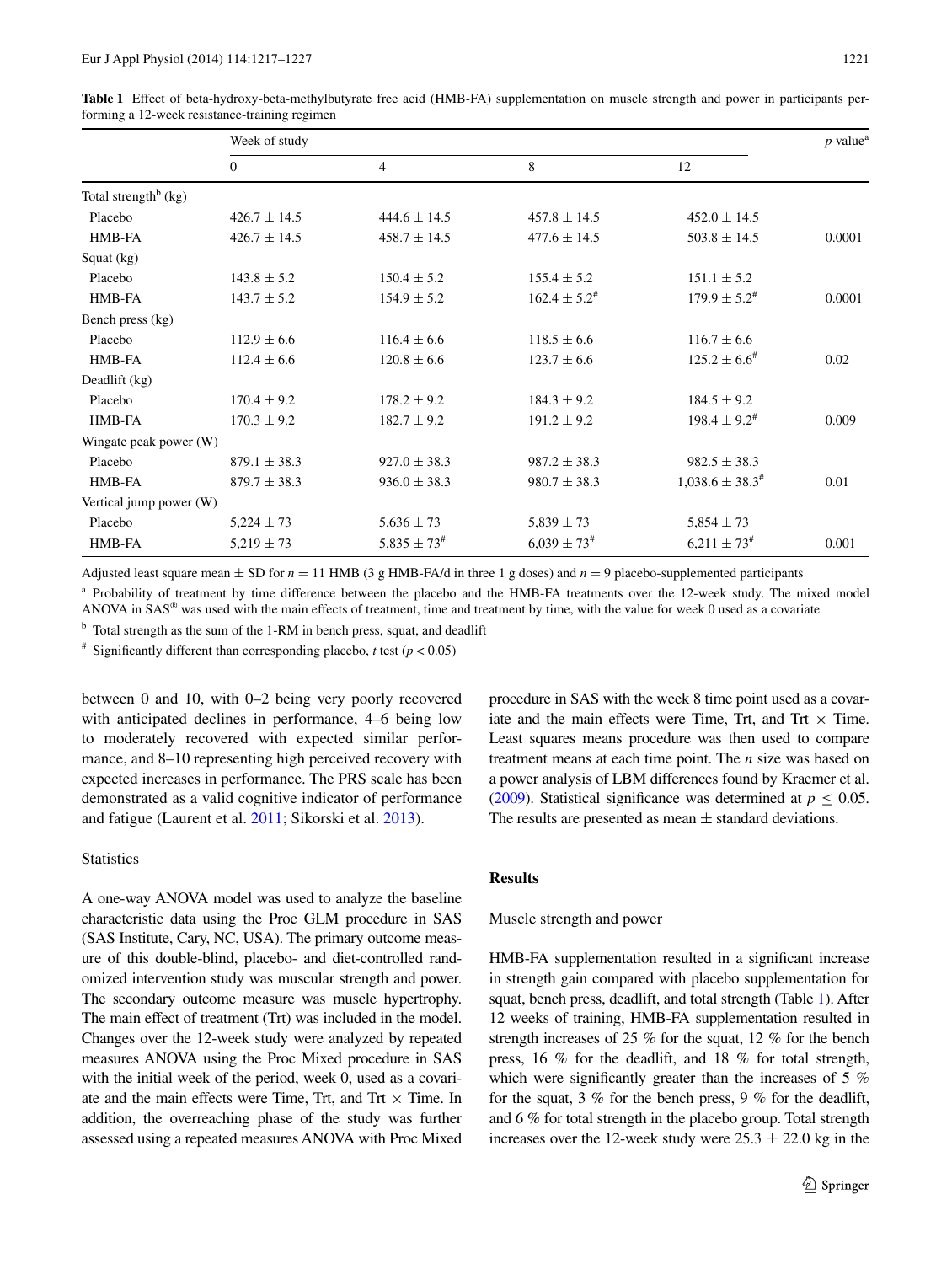|                                  | Week of study    |                            |                             |                                | $p$ value <sup>a</sup> |
|----------------------------------|------------------|----------------------------|-----------------------------|--------------------------------|------------------------|
|                                  | $\mathbf{0}$     | $\overline{4}$             | 8                           | 12                             |                        |
| Total strength <sup>b</sup> (kg) |                  |                            |                             |                                |                        |
| Placebo                          | $426.7 \pm 14.5$ | $444.6 \pm 14.5$           | $457.8 \pm 14.5$            | $452.0 \pm 14.5$               |                        |
| HMB-FA                           | $426.7 \pm 14.5$ | $458.7 \pm 14.5$           | $477.6 \pm 14.5$            | $503.8 \pm 14.5$               | 0.0001                 |
| Squat (kg)                       |                  |                            |                             |                                |                        |
| Placebo                          | $143.8 \pm 5.2$  | $150.4 \pm 5.2$            | $155.4 \pm 5.2$             | $151.1 \pm 5.2$                |                        |
| HMB-FA                           | $143.7 \pm 5.2$  | $154.9 \pm 5.2$            | $162.4 \pm 5.2^{\text{\#}}$ | $179.9 \pm 5.2^{\text{\#}}$    | 0.0001                 |
| Bench press (kg)                 |                  |                            |                             |                                |                        |
| Placebo                          | $112.9 \pm 6.6$  | $116.4 \pm 6.6$            | $118.5 \pm 6.6$             | $116.7 \pm 6.6$                |                        |
| HMB-FA                           | $112.4 \pm 6.6$  | $120.8 \pm 6.6$            | $123.7 \pm 6.6$             | $125.2 \pm 6.6^{\#}$           | 0.02                   |
| Deadlift (kg)                    |                  |                            |                             |                                |                        |
| Placebo                          | $170.4 \pm 9.2$  | $178.2 \pm 9.2$            | $184.3 \pm 9.2$             | $184.5 \pm 9.2$                |                        |
| HMB-FA                           | $170.3 \pm 9.2$  | $182.7 \pm 9.2$            | $191.2 \pm 9.2$             | $198.4 \pm 9.2^{\text{\#}}$    | 0.009                  |
| Wingate peak power (W)           |                  |                            |                             |                                |                        |
| Placebo                          | $879.1 \pm 38.3$ | $927.0 \pm 38.3$           | $987.2 \pm 38.3$            | $982.5 \pm 38.3$               |                        |
| HMB-FA                           | $879.7 \pm 38.3$ | $936.0 \pm 38.3$           | $980.7 \pm 38.3$            | $1,038.6 \pm 38.3^{\text{\#}}$ | 0.01                   |
| Vertical jump power (W)          |                  |                            |                             |                                |                        |
| Placebo                          | $5,224 \pm 73$   | $5,636 \pm 73$             | $5,839 \pm 73$              | $5,854 \pm 73$                 |                        |
| HMB-FA                           | $5,219 \pm 73$   | $5,835 \pm 73^{\text{\#}}$ | $6,039 \pm 73$ <sup>#</sup> | $6,211 \pm 73$ <sup>#</sup>    | 0.001                  |
|                                  |                  |                            |                             |                                |                        |

<span id="page-4-0"></span>**Table 1** Effect of beta-hydroxy-beta-methylbutyrate free acid (HMB-FA) supplementation on muscle strength and power in participants performing a 12-week resistance-training regimen

Adjusted least square mean  $\pm$  SD for  $n = 11$  HMB (3 g HMB-FA/d in three 1 g doses) and  $n = 9$  placebo-supplemented participants

<sup>a</sup> Probability of treatment by time difference between the placebo and the HMB-FA treatments over the 12-week study. The mixed model ANOVA in  $SAS^{\otimes}$  was used with the main effects of treatment, time and treatment by time, with the value for week 0 used as a covariate

<sup>b</sup> Total strength as the sum of the 1-RM in bench press, squat, and deadlift

<sup>#</sup> Significantly different than corresponding placebo, *t* test ( $p < 0.05$ )

between 0 and 10, with 0–2 being very poorly recovered with anticipated declines in performance, 4–6 being low to moderately recovered with expected similar performance, and 8–10 representing high perceived recovery with expected increases in performance. The PRS scale has been demonstrated as a valid cognitive indicator of performance and fatigue (Laurent et al. [2011](#page-10-14); Sikorski et al. [2013\)](#page-10-15).

## **Statistics**

A one-way ANOVA model was used to analyze the baseline characteristic data using the Proc GLM procedure in SAS (SAS Institute, Cary, NC, USA). The primary outcome measure of this double-blind, placebo- and diet-controlled randomized intervention study was muscular strength and power. The secondary outcome measure was muscle hypertrophy. The main effect of treatment (Trt) was included in the model. Changes over the 12-week study were analyzed by repeated measures ANOVA using the Proc Mixed procedure in SAS with the initial week of the period, week 0, used as a covariate and the main effects were Time, Trt, and Trt  $\times$  Time. In addition, the overreaching phase of the study was further assessed using a repeated measures ANOVA with Proc Mixed procedure in SAS with the week 8 time point used as a covariate and the main effects were Time, Trt, and Trt  $\times$  Time. Least squares means procedure was then used to compare treatment means at each time point. The *n* size was based on a power analysis of LBM differences found by Kraemer et al. [\(2009\)](#page-10-12). Statistical significance was determined at  $p \leq 0.05$ . The results are presented as mean  $\pm$  standard deviations.

## **Results**

## Muscle strength and power

HMB-FA supplementation resulted in a significant increase in strength gain compared with placebo supplementation for squat, bench press, deadlift, and total strength (Table [1](#page-4-0)). After 12 weeks of training, HMB-FA supplementation resulted in strength increases of 25 % for the squat, 12 % for the bench press, 16 % for the deadlift, and 18 % for total strength, which were significantly greater than the increases of 5 % for the squat, 3 % for the bench press, 9 % for the deadlift, and 6 % for total strength in the placebo group. Total strength increases over the 12-week study were  $25.3 \pm 22.0$  kg in the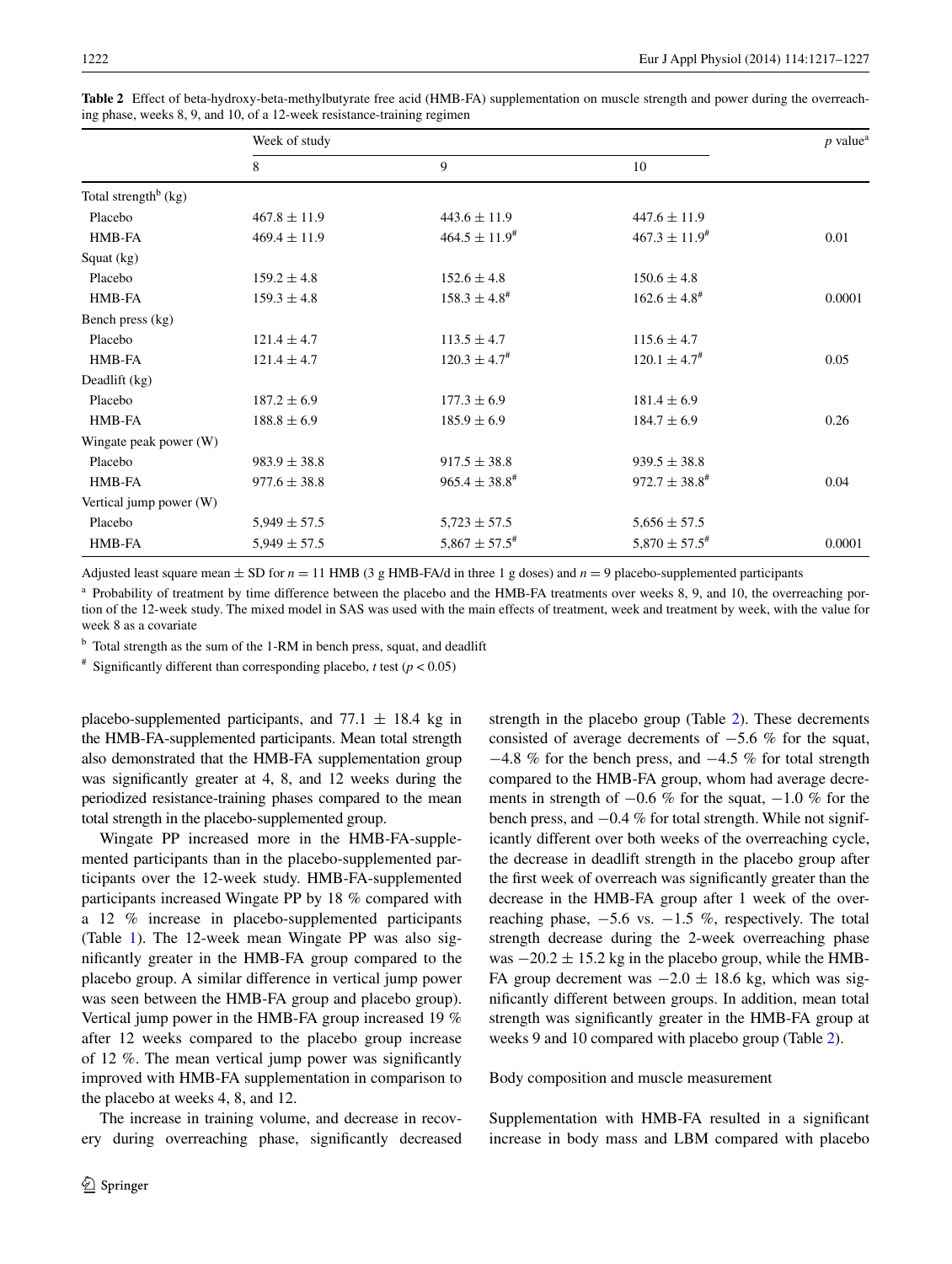|                                  | Week of study    |                              |                              | $p$ value <sup>a</sup> |
|----------------------------------|------------------|------------------------------|------------------------------|------------------------|
|                                  | 8                | 9                            | 10                           |                        |
| Total strength <sup>b</sup> (kg) |                  |                              |                              |                        |
| Placebo                          | $467.8 \pm 11.9$ | $443.6 \pm 11.9$             | $447.6 \pm 11.9$             |                        |
| HMB-FA                           | $469.4 \pm 11.9$ | $464.5 \pm 11.9^{\text{\#}}$ | $467.3 \pm 11.9^{\text{*}}$  | 0.01                   |
| Squat (kg)                       |                  |                              |                              |                        |
| Placebo                          | $159.2 \pm 4.8$  | $152.6 \pm 4.8$              | $150.6 \pm 4.8$              |                        |
| HMB-FA                           | $159.3 \pm 4.8$  | $158.3 \pm 4.8^{\#}$         | $162.6 \pm 4.8^{\text{\#}}$  | 0.0001                 |
| Bench press (kg)                 |                  |                              |                              |                        |
| Placebo                          | $121.4 \pm 4.7$  | $113.5 \pm 4.7$              | $115.6 \pm 4.7$              |                        |
| HMB-FA                           | $121.4 \pm 4.7$  | $120.3 \pm 4.7^{\#}$         | $120.1 \pm 4.7^{\text{\#}}$  | 0.05                   |
| Deadlift (kg)                    |                  |                              |                              |                        |
| Placebo                          | $187.2 \pm 6.9$  | $177.3 \pm 6.9$              | $181.4 \pm 6.9$              |                        |
| HMB-FA                           | $188.8 \pm 6.9$  | $185.9 \pm 6.9$              | $184.7 \pm 6.9$              | 0.26                   |
| Wingate peak power (W)           |                  |                              |                              |                        |
| Placebo                          | $983.9 \pm 38.8$ | $917.5 \pm 38.8$             | $939.5 \pm 38.8$             |                        |
| HMB-FA                           | $977.6 \pm 38.8$ | $965.4 \pm 38.8^{\text{*}}$  | $972.7 \pm 38.8^{\text{*}}$  | 0.04                   |
| Vertical jump power (W)          |                  |                              |                              |                        |
| Placebo                          | $5,949 \pm 57.5$ | $5,723 \pm 57.5$             | $5,656 \pm 57.5$             |                        |
| HMB-FA                           | $5,949 \pm 57.5$ | $5,867 \pm 57.5^{\text{\#}}$ | $5,870 \pm 57.5^{\text{\#}}$ | 0.0001                 |

<span id="page-5-0"></span>**Table 2** Effect of beta-hydroxy-beta-methylbutyrate free acid (HMB-FA) supplementation on muscle strength and power during the overreaching phase, weeks 8, 9, and 10, of a 12-week resistance-training regimen

Adjusted least square mean  $\pm$  SD for  $n = 11$  HMB (3 g HMB-FA/d in three 1 g doses) and  $n = 9$  placebo-supplemented participants

<sup>a</sup> Probability of treatment by time difference between the placebo and the HMB-FA treatments over weeks 8, 9, and 10, the overreaching portion of the 12-week study. The mixed model in SAS was used with the main effects of treatment, week and treatment by week, with the value for week 8 as a covariate

<sup>b</sup> Total strength as the sum of the 1-RM in bench press, squat, and deadlift

<sup>#</sup> Significantly different than corresponding placebo, *t* test ( $p < 0.05$ )

placebo-supplemented participants, and  $77.1 \pm 18.4$  kg in the HMB-FA-supplemented participants. Mean total strength also demonstrated that the HMB-FA supplementation group was significantly greater at 4, 8, and 12 weeks during the periodized resistance-training phases compared to the mean total strength in the placebo-supplemented group.

Wingate PP increased more in the HMB-FA-supplemented participants than in the placebo-supplemented participants over the 12-week study. HMB-FA-supplemented participants increased Wingate PP by 18 % compared with a 12 % increase in placebo-supplemented participants (Table [1\)](#page-4-0). The 12-week mean Wingate PP was also significantly greater in the HMB-FA group compared to the placebo group. A similar difference in vertical jump power was seen between the HMB-FA group and placebo group). Vertical jump power in the HMB-FA group increased 19 % after 12 weeks compared to the placebo group increase of 12 %. The mean vertical jump power was significantly improved with HMB-FA supplementation in comparison to the placebo at weeks 4, 8, and 12.

The increase in training volume, and decrease in recovery during overreaching phase, significantly decreased strength in the placebo group (Table [2\)](#page-5-0). These decrements consisted of average decrements of −5.6 % for the squat, −4.8 % for the bench press, and −4.5 % for total strength compared to the HMB-FA group, whom had average decrements in strength of  $-0.6$  % for the squat,  $-1.0$  % for the bench press, and −0.4 % for total strength. While not significantly different over both weeks of the overreaching cycle, the decrease in deadlift strength in the placebo group after the first week of overreach was significantly greater than the decrease in the HMB-FA group after 1 week of the overreaching phase,  $-5.6$  vs.  $-1.5$  %, respectively. The total strength decrease during the 2-week overreaching phase was  $-20.2 \pm 15.2$  kg in the placebo group, while the HMB-FA group decrement was  $-2.0 \pm 18.6$  kg, which was significantly different between groups. In addition, mean total strength was significantly greater in the HMB-FA group at weeks 9 and 10 compared with placebo group (Table [2](#page-5-0)).

Body composition and muscle measurement

Supplementation with HMB-FA resulted in a significant increase in body mass and LBM compared with placebo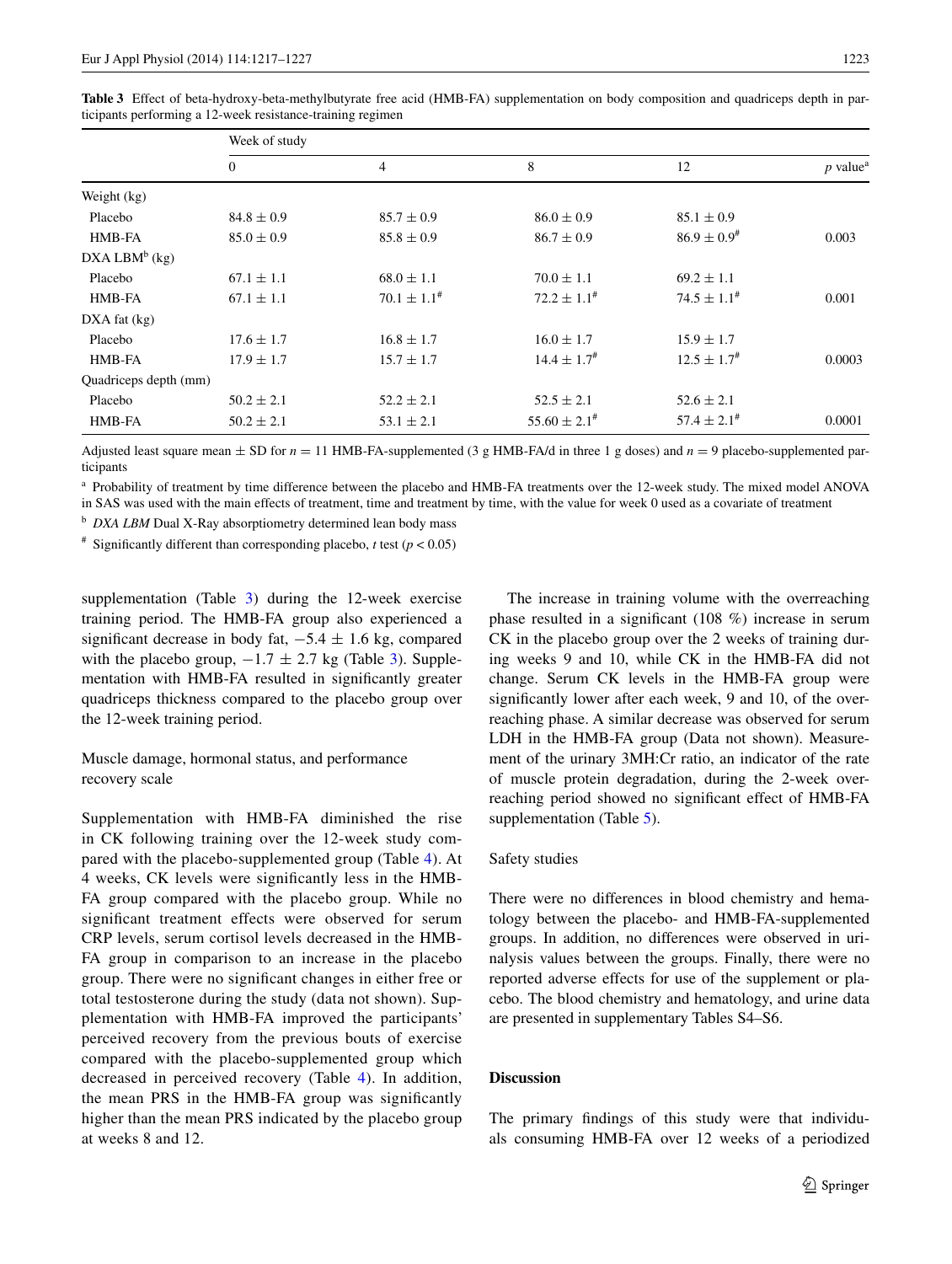|                       | Week of study    |                     |                             |                             |                        |  |
|-----------------------|------------------|---------------------|-----------------------------|-----------------------------|------------------------|--|
|                       | $\boldsymbol{0}$ | $\overline{4}$      | 8                           | 12                          | $p$ value <sup>a</sup> |  |
| Weight (kg)           |                  |                     |                             |                             |                        |  |
| Placebo               | $84.8 \pm 0.9$   | $85.7 \pm 0.9$      | $86.0 \pm 0.9$              | $85.1 \pm 0.9$              |                        |  |
| HMB-FA                | $85.0 \pm 0.9$   | $85.8 \pm 0.9$      | $86.7 \pm 0.9$              | $86.9 \pm 0.9$ <sup>#</sup> | 0.003                  |  |
| $DXA$ LBM $b$ (kg)    |                  |                     |                             |                             |                        |  |
| Placebo               | $67.1 \pm 1.1$   | $68.0 \pm 1.1$      | $70.0 \pm 1.1$              | $69.2 \pm 1.1$              |                        |  |
| HMB-FA                | $67.1 \pm 1.1$   | $70.1 \pm 1.1^{\#}$ | $72.2 \pm 1.1^{\#}$         | $74.5 \pm 1.1^*$            | 0.001                  |  |
| $DXA$ fat $(kg)$      |                  |                     |                             |                             |                        |  |
| Placebo               | $17.6 \pm 1.7$   | $16.8 \pm 1.7$      | $16.0 \pm 1.7$              | $15.9 \pm 1.7$              |                        |  |
| HMB-FA                | $17.9 \pm 1.7$   | $15.7 \pm 1.7$      | $14.4 \pm 1.7$ <sup>#</sup> | $12.5 \pm 1.7^{\#}$         | 0.0003                 |  |
| Quadriceps depth (mm) |                  |                     |                             |                             |                        |  |
| Placebo               | $50.2 \pm 2.1$   | $52.2 \pm 2.1$      | $52.5 \pm 2.1$              | $52.6 \pm 2.1$              |                        |  |
| HMB-FA                | $50.2 \pm 2.1$   | $53.1 \pm 2.1$      | $55.60 \pm 2.1^{\text{*}}$  | $57.4 \pm 2.1^{\text{*}}$   | 0.0001                 |  |

<span id="page-6-0"></span>**Table 3** Effect of beta-hydroxy-beta-methylbutyrate free acid (HMB-FA) supplementation on body composition and quadriceps depth in participants performing a 12-week resistance-training regimen

Adjusted least square mean  $\pm$  SD for  $n = 11$  HMB-FA-supplemented (3 g HMB-FA/d in three 1 g doses) and  $n = 9$  placebo-supplemented participants

<sup>a</sup> Probability of treatment by time difference between the placebo and HMB-FA treatments over the 12-week study. The mixed model ANOVA in SAS was used with the main effects of treatment, time and treatment by time, with the value for week 0 used as a covariate of treatment

<sup>b</sup> *DXA LBM* Dual X-Ray absorptiometry determined lean body mass

<sup>#</sup> Significantly different than corresponding placebo, *t* test ( $p < 0.05$ )

supplementation (Table [3](#page-6-0)) during the 12-week exercise training period. The HMB-FA group also experienced a significant decrease in body fat,  $-5.4 \pm 1.6$  kg, compared with the placebo group,  $-1.7 \pm 2.7$  kg (Table [3\)](#page-6-0). Supplementation with HMB-FA resulted in significantly greater quadriceps thickness compared to the placebo group over the 12-week training period.

Muscle damage, hormonal status, and performance recovery scale

Supplementation with HMB-FA diminished the rise in CK following training over the 12-week study compared with the placebo-supplemented group (Table [4\)](#page-7-0). At 4 weeks, CK levels were significantly less in the HMB-FA group compared with the placebo group. While no significant treatment effects were observed for serum CRP levels, serum cortisol levels decreased in the HMB-FA group in comparison to an increase in the placebo group. There were no significant changes in either free or total testosterone during the study (data not shown). Supplementation with HMB-FA improved the participants' perceived recovery from the previous bouts of exercise compared with the placebo-supplemented group which decreased in perceived recovery (Table [4](#page-7-0)). In addition, the mean PRS in the HMB-FA group was significantly higher than the mean PRS indicated by the placebo group at weeks 8 and 12.

The increase in training volume with the overreaching phase resulted in a significant (108 %) increase in serum CK in the placebo group over the 2 weeks of training during weeks 9 and 10, while CK in the HMB-FA did not change. Serum CK levels in the HMB-FA group were significantly lower after each week, 9 and 10, of the overreaching phase. A similar decrease was observed for serum LDH in the HMB-FA group (Data not shown). Measurement of the urinary 3MH:Cr ratio, an indicator of the rate of muscle protein degradation, during the 2-week overreaching period showed no significant effect of HMB-FA supplementation (Table [5\)](#page-7-1).

## Safety studies

There were no differences in blood chemistry and hematology between the placebo- and HMB-FA-supplemented groups. In addition, no differences were observed in urinalysis values between the groups. Finally, there were no reported adverse effects for use of the supplement or placebo. The blood chemistry and hematology, and urine data are presented in supplementary Tables S4–S6.

## **Discussion**

The primary findings of this study were that individuals consuming HMB-FA over 12 weeks of a periodized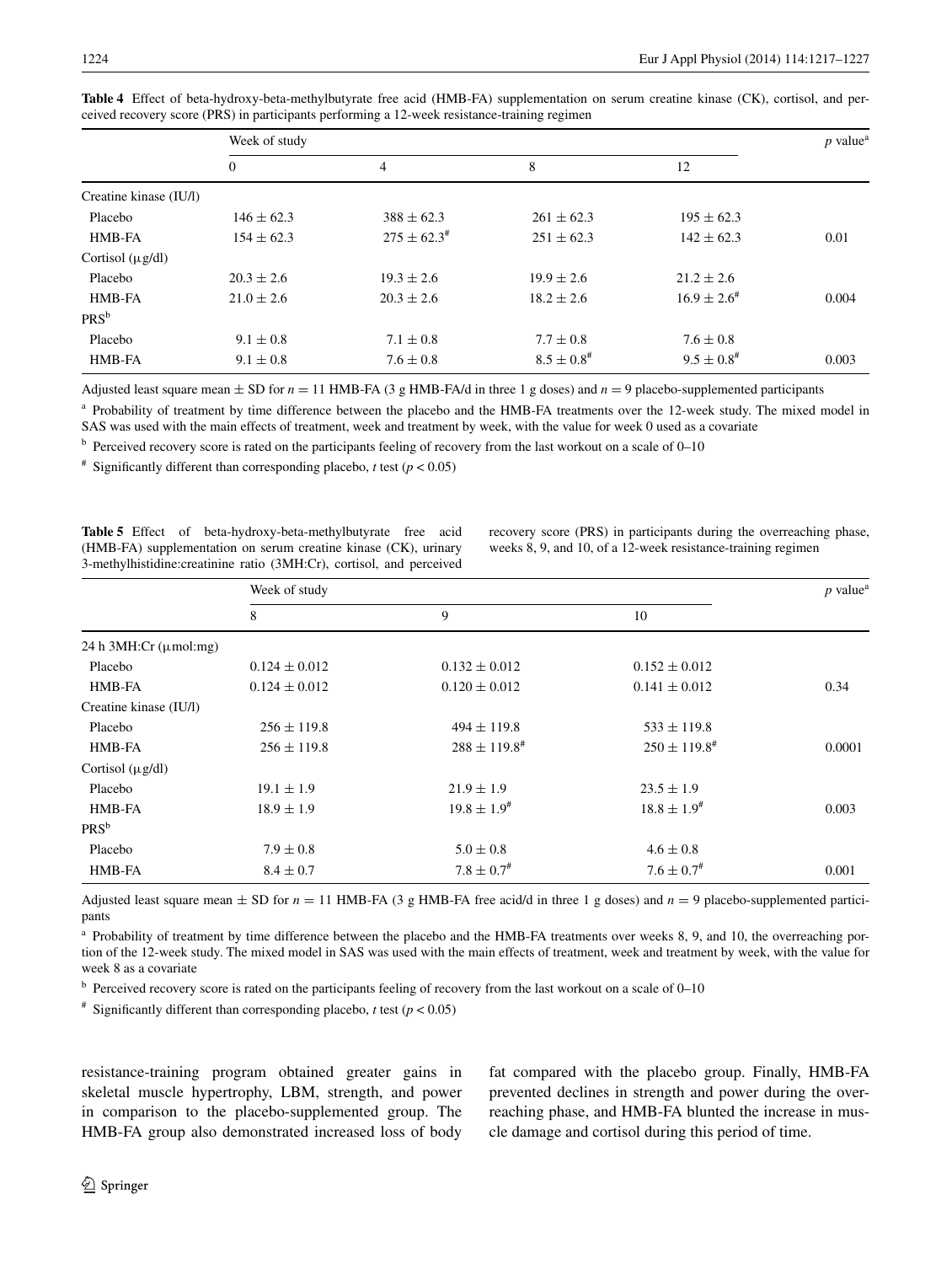| Week of study                                                                                                      |                           |       |
|--------------------------------------------------------------------------------------------------------------------|---------------------------|-------|
| 8                                                                                                                  | 12                        |       |
|                                                                                                                    |                           |       |
| $261 \pm 62.3$                                                                                                     | $195 \pm 62.3$            |       |
| $251 \pm 62.3$                                                                                                     | $142 \pm 62.3$            | 0.01  |
|                                                                                                                    |                           |       |
| $19.9 \pm 2.6$                                                                                                     | $21.2 \pm 2.6$            |       |
| $18.2 \pm 2.6$                                                                                                     | $16.9 \pm 2.6^{\text{*}}$ | 0.004 |
|                                                                                                                    |                           |       |
| $7.7 \pm 0.8$                                                                                                      | $7.6 \pm 0.8$             |       |
| $8.5 \pm 0.8$ <sup>#</sup>                                                                                         | $9.5 \pm 0.8$ #           | 0.003 |
| $388 \pm 62.3$<br>$275 \pm 62.3^{\text{\#}}$<br>$19.3 \pm 2.6$<br>$20.3 \pm 2.6$<br>$7.1 \pm 0.8$<br>$7.6 \pm 0.8$ |                           |       |

<span id="page-7-0"></span>**Table 4** Effect of beta-hydroxy-beta-methylbutyrate free acid (HMB-FA) supplementation on serum creatine kinase (CK), cortisol, and perceived recovery score (PRS) in participants performing a 12-week resistance-training regimen

Adjusted least square mean  $\pm$  SD for  $n = 11$  HMB-FA (3 g HMB-FA/d in three 1 g doses) and  $n = 9$  placebo-supplemented participants

<sup>a</sup> Probability of treatment by time difference between the placebo and the HMB-FA treatments over the 12-week study. The mixed model in SAS was used with the main effects of treatment, week and treatment by week, with the value for week 0 used as a covariate

b Perceived recovery score is rated on the participants feeling of recovery from the last workout on a scale of 0–10

<sup>#</sup> Significantly different than corresponding placebo, *t* test ( $p < 0.05$ )

<span id="page-7-1"></span>**Table 5** Effect of beta-hydroxy-beta-methylbutyrate free acid (HMB-FA) supplementation on serum creatine kinase (CK), urinary 3-methylhistidine:creatinine ratio (3MH:Cr), cortisol, and perceived

recovery score (PRS) in participants during the overreaching phase, weeks 8, 9, and 10, of a 12-week resistance-training regimen

|                                   | Week of study     |                            |                            |        |
|-----------------------------------|-------------------|----------------------------|----------------------------|--------|
|                                   | 8                 | 9                          | 10                         |        |
| 24 h 3MH:Cr $(\mu \text{mol:mg})$ |                   |                            |                            |        |
| Placebo                           | $0.124 \pm 0.012$ | $0.132 \pm 0.012$          | $0.152 \pm 0.012$          |        |
| HMB-FA                            | $0.124 \pm 0.012$ | $0.120 \pm 0.012$          | $0.141 \pm 0.012$          | 0.34   |
| Creatine kinase (IU/l)            |                   |                            |                            |        |
| Placebo                           | $256 \pm 119.8$   | $494 \pm 119.8$            | $533 \pm 119.8$            |        |
| HMB-FA                            | $256 \pm 119.8$   | $288 \pm 119.8^{\#}$       | $250 \pm 119.8^{\text{*}}$ | 0.0001 |
| Cortisol $(\mu g/dl)$             |                   |                            |                            |        |
| Placebo                           | $19.1 \pm 1.9$    | $21.9 \pm 1.9$             | $23.5 \pm 1.9$             |        |
| HMB-FA                            | $18.9 \pm 1.9$    | $19.8 \pm 1.9^{\#}$        | $18.8 \pm 1.9^{\#}$        | 0.003  |
| $PRS^b$                           |                   |                            |                            |        |
| Placebo                           | $7.9 \pm 0.8$     | $5.0 \pm 0.8$              | $4.6 \pm 0.8$              |        |
| HMB-FA                            | $8.4 \pm 0.7$     | $7.8 \pm 0.7$ <sup>#</sup> | $7.6 \pm 0.7$ <sup>#</sup> | 0.001  |

Adjusted least square mean  $\pm$  SD for  $n = 11$  HMB-FA (3 g HMB-FA free acid/d in three 1 g doses) and  $n = 9$  placebo-supplemented participants

<sup>a</sup> Probability of treatment by time difference between the placebo and the HMB-FA treatments over weeks 8, 9, and 10, the overreaching portion of the 12-week study. The mixed model in SAS was used with the main effects of treatment, week and treatment by week, with the value for week 8 as a covariate

 $<sup>b</sup>$  Perceived recovery score is rated on the participants feeling of recovery from the last workout on a scale of 0–10</sup>

<sup>#</sup> Significantly different than corresponding placebo, *t* test ( $p < 0.05$ )

resistance-training program obtained greater gains in skeletal muscle hypertrophy, LBM, strength, and power in comparison to the placebo-supplemented group. The HMB-FA group also demonstrated increased loss of body fat compared with the placebo group. Finally, HMB-FA prevented declines in strength and power during the overreaching phase, and HMB-FA blunted the increase in muscle damage and cortisol during this period of time.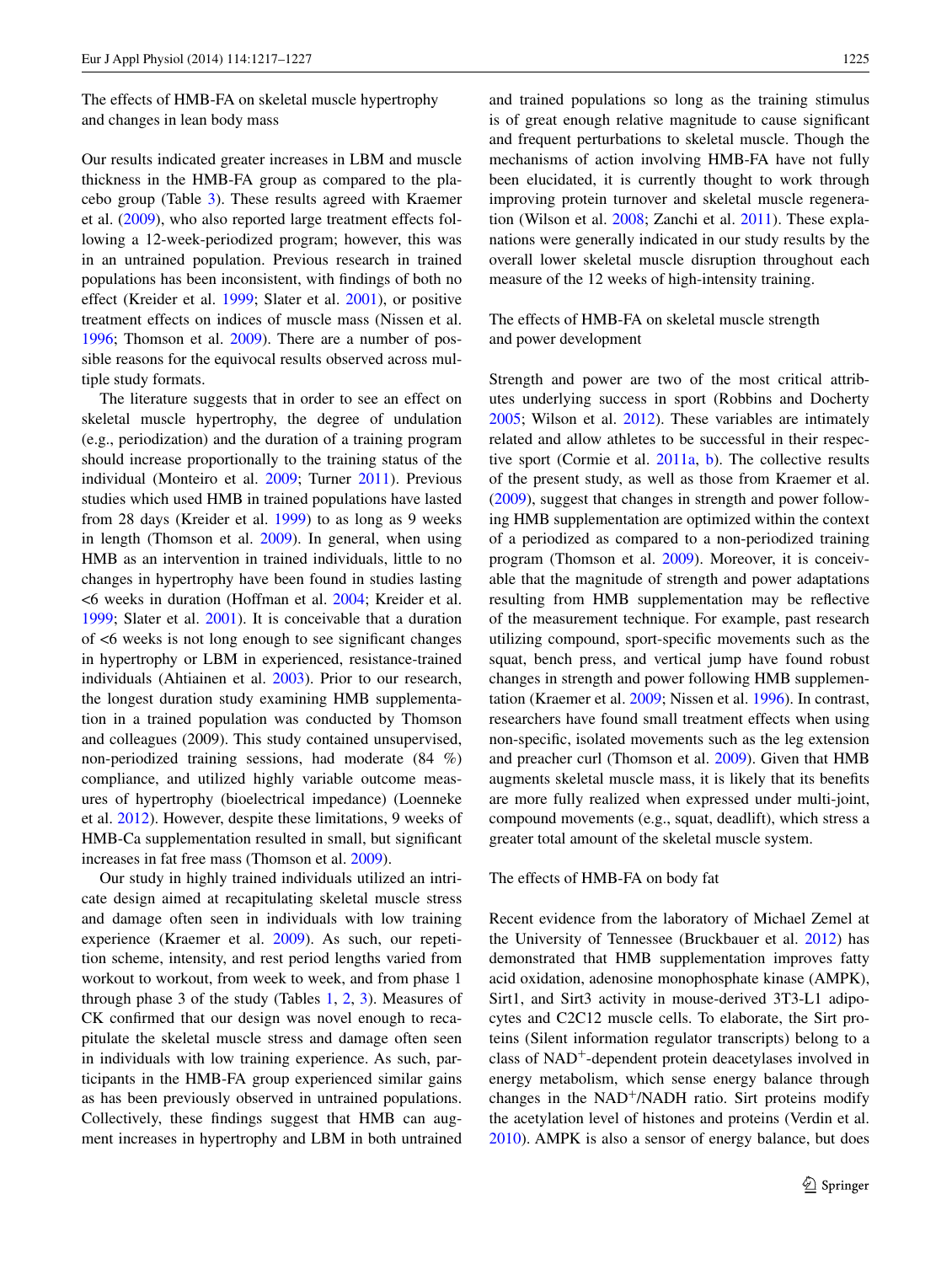The effects of HMB-FA on skeletal muscle hypertrophy and changes in lean body mass

Our results indicated greater increases in LBM and muscle thickness in the HMB-FA group as compared to the placebo group (Table [3\)](#page-6-0). These results agreed with Kraemer et al. [\(2009](#page-10-12)), who also reported large treatment effects following a 12-week-periodized program; however, this was in an untrained population. Previous research in trained populations has been inconsistent, with findings of both no effect (Kreider et al. [1999;](#page-10-4) Slater et al. [2001](#page-10-16)), or positive treatment effects on indices of muscle mass (Nissen et al. [1996](#page-10-0); Thomson et al. [2009\)](#page-10-5). There are a number of possible reasons for the equivocal results observed across multiple study formats.

The literature suggests that in order to see an effect on skeletal muscle hypertrophy, the degree of undulation (e.g., periodization) and the duration of a training program should increase proportionally to the training status of the individual (Monteiro et al. [2009](#page-10-17); Turner [2011](#page-10-3)). Previous studies which used HMB in trained populations have lasted from 28 days (Kreider et al. [1999\)](#page-10-4) to as long as 9 weeks in length (Thomson et al. [2009\)](#page-10-5). In general, when using HMB as an intervention in trained individuals, little to no changes in hypertrophy have been found in studies lasting <6 weeks in duration (Hoffman et al. [2004](#page-9-3); Kreider et al. [1999](#page-10-4); Slater et al. [2001\)](#page-10-16). It is conceivable that a duration of <6 weeks is not long enough to see significant changes in hypertrophy or LBM in experienced, resistance-trained individuals (Ahtiainen et al. [2003\)](#page-9-4). Prior to our research, the longest duration study examining HMB supplementation in a trained population was conducted by Thomson and colleagues (2009). This study contained unsupervised, non-periodized training sessions, had moderate (84 %) compliance, and utilized highly variable outcome measures of hypertrophy (bioelectrical impedance) (Loenneke et al. [2012](#page-10-18)). However, despite these limitations, 9 weeks of HMB-Ca supplementation resulted in small, but significant increases in fat free mass (Thomson et al. [2009](#page-10-5)).

Our study in highly trained individuals utilized an intricate design aimed at recapitulating skeletal muscle stress and damage often seen in individuals with low training experience (Kraemer et al. [2009\)](#page-10-12). As such, our repetition scheme, intensity, and rest period lengths varied from workout to workout, from week to week, and from phase 1 through phase 3 of the study (Tables [1,](#page-4-0) [2,](#page-5-0) [3](#page-6-0)). Measures of CK confirmed that our design was novel enough to recapitulate the skeletal muscle stress and damage often seen in individuals with low training experience. As such, participants in the HMB-FA group experienced similar gains as has been previously observed in untrained populations. Collectively, these findings suggest that HMB can augment increases in hypertrophy and LBM in both untrained

and trained populations so long as the training stimulus is of great enough relative magnitude to cause significant and frequent perturbations to skeletal muscle. Though the mechanisms of action involving HMB-FA have not fully been elucidated, it is currently thought to work through improving protein turnover and skeletal muscle regeneration (Wilson et al. [2008](#page-10-1); Zanchi et al. [2011](#page-10-19)). These explanations were generally indicated in our study results by the overall lower skeletal muscle disruption throughout each measure of the 12 weeks of high-intensity training.

The effects of HMB-FA on skeletal muscle strength and power development

Strength and power are two of the most critical attributes underlying success in sport (Robbins and Docherty [2005](#page-10-20); Wilson et al. [2012](#page-10-21)). These variables are intimately related and allow athletes to be successful in their respective sport (Cormie et al. [2011a](#page-9-5), [b\)](#page-9-5). The collective results of the present study, as well as those from Kraemer et al. [\(2009](#page-10-12)), suggest that changes in strength and power following HMB supplementation are optimized within the context of a periodized as compared to a non-periodized training program (Thomson et al. [2009](#page-10-5)). Moreover, it is conceivable that the magnitude of strength and power adaptations resulting from HMB supplementation may be reflective of the measurement technique. For example, past research utilizing compound, sport-specific movements such as the squat, bench press, and vertical jump have found robust changes in strength and power following HMB supplementation (Kraemer et al. [2009](#page-10-12); Nissen et al. [1996\)](#page-10-0). In contrast, researchers have found small treatment effects when using non-specific, isolated movements such as the leg extension and preacher curl (Thomson et al. [2009](#page-10-5)). Given that HMB augments skeletal muscle mass, it is likely that its benefits are more fully realized when expressed under multi-joint, compound movements (e.g., squat, deadlift), which stress a greater total amount of the skeletal muscle system.

#### The effects of HMB-FA on body fat

Recent evidence from the laboratory of Michael Zemel at the University of Tennessee (Bruckbauer et al. [2012\)](#page-9-6) has demonstrated that HMB supplementation improves fatty acid oxidation, adenosine monophosphate kinase (AMPK), Sirt1, and Sirt3 activity in mouse-derived 3T3-L1 adipocytes and C2C12 muscle cells. To elaborate, the Sirt proteins (Silent information regulator transcripts) belong to a class of NAD+-dependent protein deacetylases involved in energy metabolism, which sense energy balance through changes in the  $NAD^+/NADH$  ratio. Sirt proteins modify the acetylation level of histones and proteins (Verdin et al. [2010](#page-10-22)). AMPK is also a sensor of energy balance, but does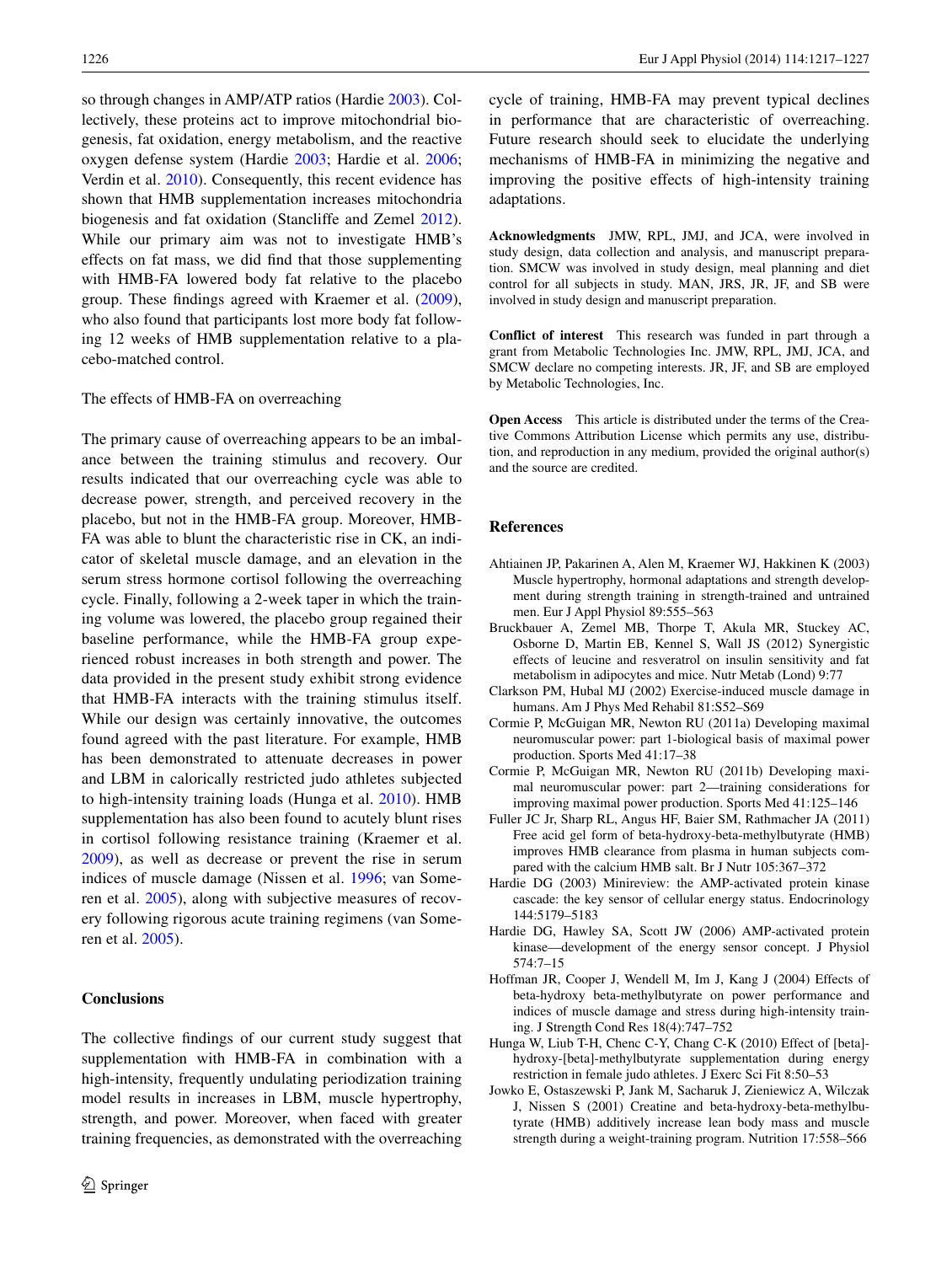so through changes in AMP/ATP ratios (Hardie [2003](#page-9-7)). Collectively, these proteins act to improve mitochondrial biogenesis, fat oxidation, energy metabolism, and the reactive oxygen defense system (Hardie [2003](#page-9-7); Hardie et al. [2006](#page-9-8); Verdin et al. [2010\)](#page-10-22). Consequently, this recent evidence has shown that HMB supplementation increases mitochondria biogenesis and fat oxidation (Stancliffe and Zemel [2012](#page-10-23)). While our primary aim was not to investigate HMB's effects on fat mass, we did find that those supplementing with HMB-FA lowered body fat relative to the placebo group. These findings agreed with Kraemer et al. [\(2009](#page-10-12)), who also found that participants lost more body fat following 12 weeks of HMB supplementation relative to a placebo-matched control.

# The effects of HMB-FA on overreaching

The primary cause of overreaching appears to be an imbalance between the training stimulus and recovery. Our results indicated that our overreaching cycle was able to decrease power, strength, and perceived recovery in the placebo, but not in the HMB-FA group. Moreover, HMB-FA was able to blunt the characteristic rise in CK, an indicator of skeletal muscle damage, and an elevation in the serum stress hormone cortisol following the overreaching cycle. Finally, following a 2-week taper in which the training volume was lowered, the placebo group regained their baseline performance, while the HMB-FA group experienced robust increases in both strength and power. The data provided in the present study exhibit strong evidence that HMB-FA interacts with the training stimulus itself. While our design was certainly innovative, the outcomes found agreed with the past literature. For example, HMB has been demonstrated to attenuate decreases in power and LBM in calorically restricted judo athletes subjected to high-intensity training loads (Hunga et al. [2010](#page-9-9)). HMB supplementation has also been found to acutely blunt rises in cortisol following resistance training (Kraemer et al. [2009](#page-10-12)), as well as decrease or prevent the rise in serum indices of muscle damage (Nissen et al. [1996](#page-10-0); van Someren et al. [2005](#page-10-24)), along with subjective measures of recovery following rigorous acute training regimens (van Someren et al. [2005\)](#page-10-24).

# **Conclusions**

The collective findings of our current study suggest that supplementation with HMB-FA in combination with a high-intensity, frequently undulating periodization training model results in increases in LBM, muscle hypertrophy, strength, and power. Moreover, when faced with greater training frequencies, as demonstrated with the overreaching cycle of training, HMB-FA may prevent typical declines in performance that are characteristic of overreaching. Future research should seek to elucidate the underlying mechanisms of HMB-FA in minimizing the negative and improving the positive effects of high-intensity training adaptations.

**Acknowledgments** JMW, RPL, JMJ, and JCA, were involved in study design, data collection and analysis, and manuscript preparation. SMCW was involved in study design, meal planning and diet control for all subjects in study. MAN, JRS, JR, JF, and SB were involved in study design and manuscript preparation.

**Conflict of interest** This research was funded in part through a grant from Metabolic Technologies Inc. JMW, RPL, JMJ, JCA, and SMCW declare no competing interests. JR, JF, and SB are employed by Metabolic Technologies, Inc.

**Open Access** This article is distributed under the terms of the Creative Commons Attribution License which permits any use, distribution, and reproduction in any medium, provided the original author(s) and the source are credited.

#### **References**

- <span id="page-9-4"></span>Ahtiainen JP, Pakarinen A, Alen M, Kraemer WJ, Hakkinen K (2003) Muscle hypertrophy, hormonal adaptations and strength development during strength training in strength-trained and untrained men. Eur J Appl Physiol 89:555–563
- <span id="page-9-6"></span>Bruckbauer A, Zemel MB, Thorpe T, Akula MR, Stuckey AC, Osborne D, Martin EB, Kennel S, Wall JS (2012) Synergistic effects of leucine and resveratrol on insulin sensitivity and fat metabolism in adipocytes and mice. Nutr Metab (Lond) 9:77
- <span id="page-9-1"></span>Clarkson PM, Hubal MJ (2002) Exercise-induced muscle damage in humans. Am J Phys Med Rehabil 81:S52–S69
- <span id="page-9-5"></span>Cormie P, McGuigan MR, Newton RU (2011a) Developing maximal neuromuscular power: part 1-biological basis of maximal power production. Sports Med 41:17–38
- Cormie P, McGuigan MR, Newton RU (2011b) Developing maximal neuromuscular power: part 2—training considerations for improving maximal power production. Sports Med 41:125–146
- <span id="page-9-2"></span>Fuller JC Jr, Sharp RL, Angus HF, Baier SM, Rathmacher JA (2011) Free acid gel form of beta-hydroxy-beta-methylbutyrate (HMB) improves HMB clearance from plasma in human subjects compared with the calcium HMB salt. Br J Nutr 105:367–372
- <span id="page-9-7"></span>Hardie DG (2003) Minireview: the AMP-activated protein kinase cascade: the key sensor of cellular energy status. Endocrinology 144:5179–5183
- <span id="page-9-8"></span>Hardie DG, Hawley SA, Scott JW (2006) AMP-activated protein kinase—development of the energy sensor concept. J Physiol 574:7–15
- <span id="page-9-3"></span>Hoffman JR, Cooper J, Wendell M, Im J, Kang J (2004) Effects of beta-hydroxy beta-methylbutyrate on power performance and indices of muscle damage and stress during high-intensity training. J Strength Cond Res 18(4):747–752
- <span id="page-9-9"></span>Hunga W, Liub T-H, Chenc C-Y, Chang C-K (2010) Effect of [beta] hydroxy-[beta]-methylbutyrate supplementation during energy restriction in female judo athletes. J Exerc Sci Fit 8:50–53
- <span id="page-9-0"></span>Jowko E, Ostaszewski P, Jank M, Sacharuk J, Zieniewicz A, Wilczak J, Nissen S (2001) Creatine and beta-hydroxy-beta-methylbutyrate (HMB) additively increase lean body mass and muscle strength during a weight-training program. Nutrition 17:558–566